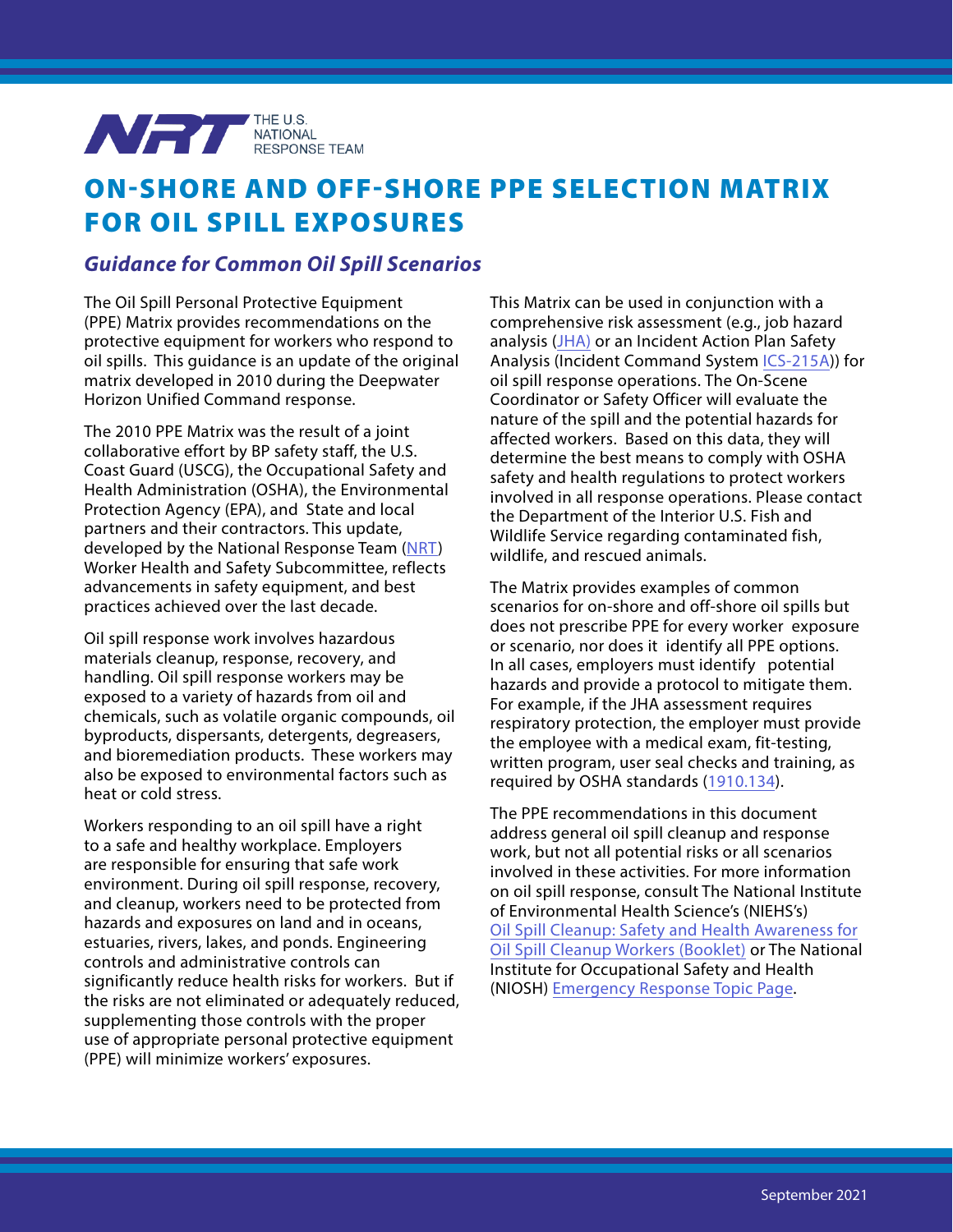

## ON-SHORE AND OFF-SHORE PPE SELECTION MATRIX FOR OIL SPILL EXPOSURES

## *Guidance for Common Oil Spill Scenarios*

The Oil Spill Personal Protective Equipment (PPE) Matrix provides recommendations on the protective equipment for workers who respond to oil spills. This guidance is an update of the original matrix developed in 2010 during the Deepwater Horizon Unified Command response.

The 2010 PPE Matrix was the result of a joint collaborative effort by BP safety staff, the U.S. Coast Guard (USCG), the Occupational Safety and Health Administration (OSHA), the Environmental Protection Agency (EPA), and State and local partners and their contractors. This update, developed by the National Response Team [\(NRT](https://www.nrt.org/)) Worker Health and Safety Subcommittee, reflects advancements in safety equipment, and best practices achieved over the last decade.

Oil spill response work involves hazardous materials cleanup, response, recovery, and handling. Oil spill response workers may be exposed to a variety of hazards from oil and chemicals, such as volatile organic compounds, oil byproducts, dispersants, detergents, degreasers, and bioremediation products. These workers may also be exposed to environmental factors such as heat or cold stress.

Workers responding to an oil spill have a right to a safe and healthy workplace. Employers are responsible for ensuring that safe work environment. During oil spill response, recovery, and cleanup, workers need to be protected from hazards and exposures on land and in oceans, estuaries, rivers, lakes, and ponds. Engineering controls and administrative controls can significantly reduce health risks for workers. But if the risks are not eliminated or adequately reduced, supplementing those controls with the proper use of appropriate personal protective equipment (PPE) will minimize workers' exposures.

This Matrix can be used in conjunction with a comprehensive risk assessment (e.g., job hazard analysis ([JHA\)](https://www.osha.gov/sites/default/files/publications/osha3071.pdf) or an Incident Action Plan Safety Analysis (Incident Command System [ICS-215A](https://training.fema.gov/emiweb/is/icsresource/assets/ics forms/ics form 215a, incident action plan safety analysis (v3).pdf))) for oil spill response operations. The On-Scene Coordinator or Safety Officer will evaluate the nature of the spill and the potential hazards for affected workers. Based on this data, they will determine the best means to comply with OSHA safety and health regulations to protect workers involved in all response operations. Please contact the Department of the Interior U.S. Fish and Wildlife Service regarding contaminated fish, wildlife, and rescued animals.

The Matrix provides examples of common scenarios for on-shore and off-shore oil spills but does not prescribe PPE for every worker exposure or scenario, nor does it identify all PPE options. In all cases, employers must identify potential hazards and provide a protocol to mitigate them. For example, if the JHA assessment requires respiratory protection, the employer must provide the employee with a medical exam, fit-testing, written program, user seal checks and training, as required by OSHA standards ([1910.134](https://www.osha.gov/laws-regs/regulations/standardnumber/1910/1910.134)).

The PPE recommendations in this document address general oil spill cleanup and response work, but not all potential risks or all scenarios involved in these activities. For more information on oil spill response, consult The National Institute of Environmental Health Science's (NIEHS's) [Oil Spill Cleanup: Safety and Health Awareness for](https://tools.niehs.nih.gov/wetp/public/hasl_get_blob.cfm?ID=8593) Oil Spill Cleanup [Workers \(Booklet\)](https://tools.niehs.nih.gov/wetp/public/hasl_get_blob.cfm?ID=8593) or The National Institute for Occupational Safety and Health (NIOSH) [Emergency Response Topic Page.](https://www.cdc.gov/niosh/topics/oilspillresponse/default.html)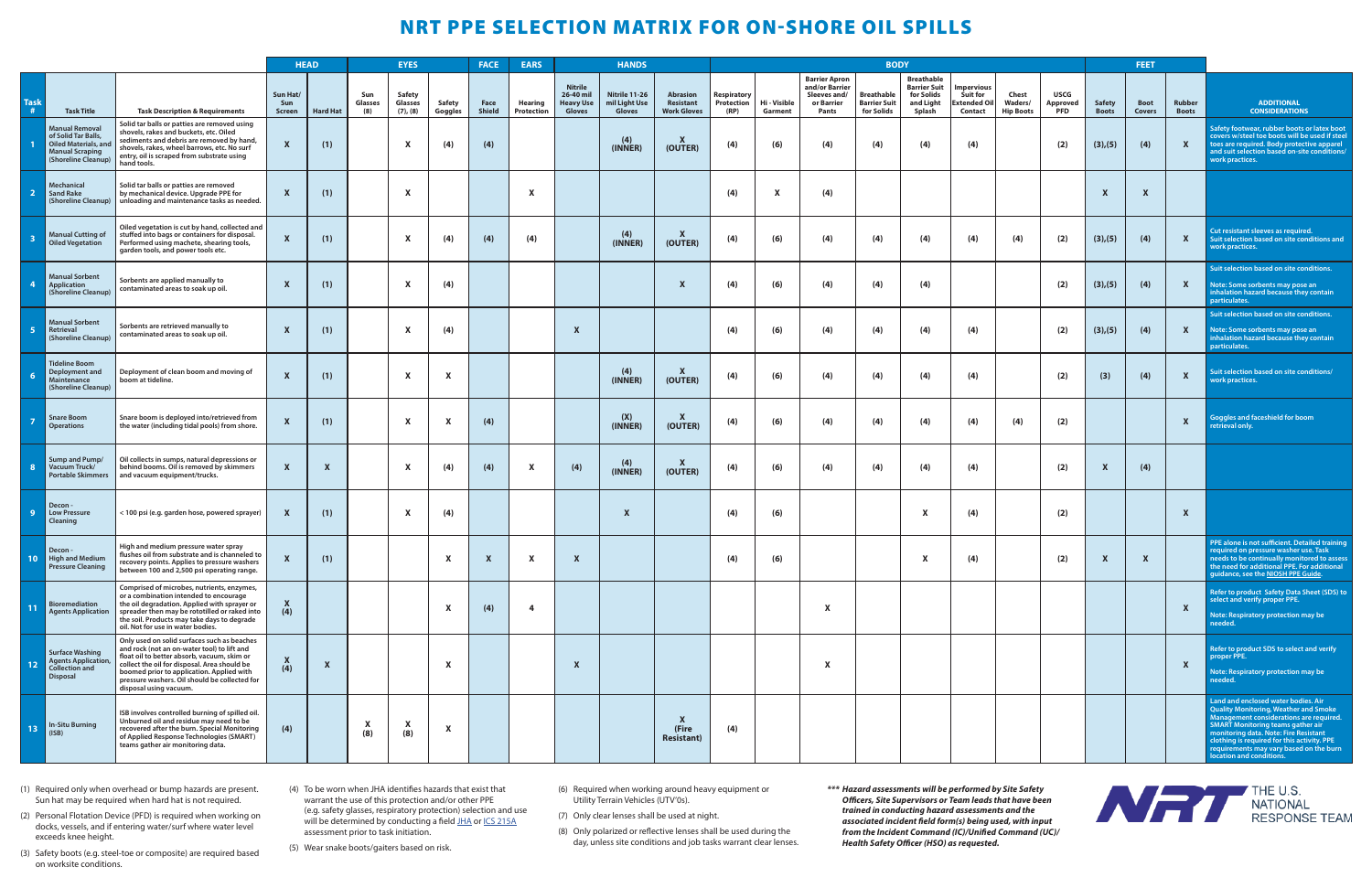(1) Required only when overhead or bump hazards are present. Sun hat may be required when hard hat is not required.

(2) Personal Flotation Device (PFD) is required when working on docks, vessels, and if entering water/surf where water level exceeds knee height.

(3) Safety boots (e.g. steel-toe or composite) are required based on worksite conditions.

(4) To be worn when JHA identifies hazards that exist that warrant the use of this protection and/or other PPE (e.g. safety glasses, respiratory protection) selection and use will be determined by conducting a field [JHA](https://www.osha.gov/sites/default/files/publications/osha3071.pdf) or [ICS 215A](https://training.fema.gov/emiweb/is/icsresource/assets/ics forms/ics form 215a, incident action plan safety analysis (v3).pdf) assessment prior to task initiation.

(5) Wear snake boots/gaiters based on risk.

(6) Required when working around heavy equipment or Utility Terrain Vehicles (UTV'0s).

(7) Only clear lenses shall be used at night.

(8) Only polarized or reflective lenses shall be used during the day, unless site conditions and job tasks warrant clear lenses. *\*\*\* Hazard assessments will be performed by Site Safety Officers, Site Supervisors or Team leads that have been trained in conducting hazard assessments and the associated incident field form(s) being used, with input from the Incident Command (IC)/Unified Command (UC)/ Health Safety Officer (HSO) as requested.*



## NRT PPE SELECTION MATRIX FOR ON-SHORE OIL SPILLS

|                                                              |                                                                                                                       |                                                                                                                                                                                                                                                                                                                   | <b>HEAD</b>               |                           | <b>EYES</b>           |                                                  | <b>FACE</b>               |                | <b>EARS</b>                  | <b>HANDS</b>                                              |                                                 |                                                    |                                          |                         |                                                                               |                                                 | <b>BODY</b>                                                                   |                                                         |                                      |                                       | <b>FEET</b>                   |                              |                               |                                                                                                                                                                                                                                                                                                                                     |
|--------------------------------------------------------------|-----------------------------------------------------------------------------------------------------------------------|-------------------------------------------------------------------------------------------------------------------------------------------------------------------------------------------------------------------------------------------------------------------------------------------------------------------|---------------------------|---------------------------|-----------------------|--------------------------------------------------|---------------------------|----------------|------------------------------|-----------------------------------------------------------|-------------------------------------------------|----------------------------------------------------|------------------------------------------|-------------------------|-------------------------------------------------------------------------------|-------------------------------------------------|-------------------------------------------------------------------------------|---------------------------------------------------------|--------------------------------------|---------------------------------------|-------------------------------|------------------------------|-------------------------------|-------------------------------------------------------------------------------------------------------------------------------------------------------------------------------------------------------------------------------------------------------------------------------------------------------------------------------------|
| $\begin{array}{c}\n\textbf{Task} \\ \textbf{#}\n\end{array}$ | <b>Task Title</b>                                                                                                     | <b>Task Description &amp; Requirements</b>                                                                                                                                                                                                                                                                        | Sun Hat/<br>Sun<br>Screen | <b>Hard Hat</b>           | Sun<br>Glasses<br>(8) | <b>Safety</b><br><b>Glasses</b><br>$(7)$ , $(8)$ | Safety<br>Goggles         | Face<br>Shield | <b>Hearing</b><br>Protection | <b>Nitrile</b><br>26-40 mil<br><b>Heavy Use</b><br>Gloves | Nitrile 11-26<br>mil Light Use<br><b>Gloves</b> | <b>Abrasion</b><br>Resistant<br><b>Work Gloves</b> | <b>Respiratory</b><br>Protection<br>(RP) | Hi - Visible<br>Garment | <b>Barrier Apron</b><br>and/or Barrier<br>Sleeves and/<br>or Barrier<br>Pants | Breathable<br><b>Barrier Suit</b><br>for Solids | <b>Breathable</b><br><b>Barrier Suit</b><br>for Solids<br>and Light<br>Splash | mpervious<br>Suit for<br><b>Extended Oil</b><br>Contact | Chest<br>Waders/<br><b>Hip Boots</b> | <b>USCG</b><br>Approved<br><b>PFD</b> | <b>Safety</b><br><b>Boots</b> | <b>Boot</b><br><b>Covers</b> | <b>Rubber</b><br><b>Boots</b> | <b>ADDITIONAL</b><br><b>CONSIDERATIONS</b>                                                                                                                                                                                                                                                                                          |
|                                                              | <b>Manual Removal</b><br>of Solid Tar Balls,<br>Oiled Materials, and<br><b>Manual Scraping</b><br>(Shoreline Cleanup) | Solid tar balls or patties are removed using<br>shovels, rakes and buckets, etc. Oiled<br>sediments and debris are removed by hand,<br>shovels, rakes, wheel barrows, etc. No surf<br>entry, oil is scraped from substrate using<br>hand tools.                                                                   | $\mathbf{x}$              | (1)                       |                       | $\boldsymbol{\mathsf{x}}$                        | (4)                       | (4)            |                              |                                                           | (4)<br>(INNER)                                  | X<br>(OUTER)                                       | (4)                                      | (6)                     | (4)                                                                           | (4)                                             | (4)                                                                           | (4)                                                     |                                      | (2)                                   | (3), (5)                      | (4)                          | $\boldsymbol{\mathsf{x}}$     | Safety footwear, rubber boots or latex boot<br>covers w/steel toe boots will be used if stee<br>toes are required. Body protective apparel<br>and suit selection based on-site conditions,<br>work practices.                                                                                                                       |
|                                                              | Mechanical<br><b>Sand Rake</b><br>(Shoreline Cleanup)                                                                 | Solid tar balls or patties are removed<br>by mechanical device. Upgrade PPE for<br>unloading and maintenance tasks as needed.                                                                                                                                                                                     | X                         | (1)                       |                       | X                                                |                           |                | $\boldsymbol{\mathsf{x}}$    |                                                           |                                                 |                                                    | (4)                                      | X                       | (4)                                                                           |                                                 |                                                                               |                                                         |                                      |                                       | X                             | $\boldsymbol{\mathsf{x}}$    |                               |                                                                                                                                                                                                                                                                                                                                     |
|                                                              | <b>Manual Cutting of</b><br><b>Oiled Vegetation</b>                                                                   | Oiled vegetation is cut by hand, collected and<br>stuffed into bags or containers for disposal.<br>Performed using machete, shearing tools,<br>garden tools, and power tools etc.                                                                                                                                 | X                         | (1)                       |                       |                                                  | (4)                       | (4)            | (4)                          |                                                           | (4)<br>(INNER)                                  | $\boldsymbol{\mathsf{x}}$<br>(OUTER)               | (4)                                      | (6)                     | (4)                                                                           | (4)                                             | (4)                                                                           | (4)                                                     | (4)                                  | (2)                                   | (3), (5)                      | (4)                          | X                             | Cut resistant sleeves as required.<br>Suit selection based on site conditions and<br>work practices.                                                                                                                                                                                                                                |
|                                                              | <b>Manual Sorbent</b><br>Application<br>(Shoreline Cleanup)                                                           | Sorbents are applied manually to<br>contaminated areas to soak up oil.                                                                                                                                                                                                                                            | $\mathbf x$               | (1)                       |                       |                                                  | (4)                       |                |                              |                                                           |                                                 | $\boldsymbol{\mathsf{x}}$                          | (4)                                      | (6)                     | (4)                                                                           | (4)                                             | (4)                                                                           |                                                         |                                      | (2)                                   | (3), (5)                      | (4)                          | $\mathbf{x}$                  | Suit selection based on site conditions.<br>Note: Some sorbents may pose an<br>inhalation hazard because they contain<br>particulates.                                                                                                                                                                                              |
|                                                              | <b>Manual Sorbent</b><br>Retrieval<br>(Shoreline Cleanup)                                                             | Sorbents are retrieved manually to<br>contaminated areas to soak up oil.                                                                                                                                                                                                                                          | X                         | (1)                       |                       |                                                  | (4)                       |                |                              | $\boldsymbol{\mathsf{x}}$                                 |                                                 |                                                    | (4)                                      | (6)                     | (4)                                                                           | (4)                                             | (4)                                                                           | (4)                                                     |                                      | (2)                                   | (3), (5)                      | (4)                          | $\mathbf{x}$                  | Suit selection based on site conditions.<br>Note: Some sorbents may pose an<br>inhalation hazard because they contain<br>particulates.                                                                                                                                                                                              |
|                                                              | <b>Tideline Boom</b><br>Deployment and<br>Maintenance<br>(Shoreline Cleanup)                                          | Deployment of clean boom and moving of<br>boom at tideline.                                                                                                                                                                                                                                                       | $\mathbf{x}$              | (1)                       |                       | X                                                | X                         |                |                              |                                                           | (4)<br>(INNER)                                  | X<br>(OUTER)                                       | (4)                                      | (6)                     | (4)                                                                           | (4)                                             | (4)                                                                           | (4)                                                     |                                      | (2)                                   | (3)                           | (4)                          | $\boldsymbol{\mathsf{x}}$     | Suit selection based on site conditions/<br>work practices.                                                                                                                                                                                                                                                                         |
|                                                              | <b>Snare Boom</b><br><b>Operations</b>                                                                                | Snare boom is deployed into/retrieved from<br>the water (including tidal pools) from shore.                                                                                                                                                                                                                       | X                         | (1)                       |                       |                                                  | X                         | (4)            |                              |                                                           | (X)<br>(INNER)                                  | $\boldsymbol{\mathsf{x}}$<br>(OUTER)               | (4)                                      | (6)                     | (4)                                                                           | (4)                                             | (4)                                                                           | (4)                                                     | (4)                                  | (2)                                   |                               |                              | X                             | Goggles and faceshield for boom<br>etrieval only.                                                                                                                                                                                                                                                                                   |
|                                                              | Sump and Pump/<br>Vacuum Truck/<br><b>Portable Skimmers</b>                                                           | Oil collects in sumps, natural depressions or<br>behind booms. Oil is removed by skimmers<br>and vacuum equipment/trucks.                                                                                                                                                                                         | $\mathbf{x}$              | $\boldsymbol{\mathsf{x}}$ |                       |                                                  | (4)                       | (4)            |                              | (4)                                                       | (4)<br>(INNER)                                  | X<br>(OUTER)                                       | (4)                                      | (6)                     | (4)                                                                           | (4)                                             | (4)                                                                           | (4)                                                     |                                      | (2)                                   | X                             | (4)                          |                               |                                                                                                                                                                                                                                                                                                                                     |
| -9                                                           | <b>Decon</b><br><b>Low Pressure</b><br>Cleaning                                                                       | < 100 psi (e.g. garden hose, powered sprayer)                                                                                                                                                                                                                                                                     | X                         | (1)                       |                       |                                                  | (4)                       |                |                              |                                                           | $\boldsymbol{\mathsf{x}}$                       |                                                    | (4)                                      | (6)                     |                                                                               |                                                 |                                                                               | (4)                                                     |                                      | (2)                                   |                               |                              | $\boldsymbol{\mathsf{x}}$     |                                                                                                                                                                                                                                                                                                                                     |
| 10 <sub>1</sub>                                              | Decon-<br>High and Medium<br><b>Pressure Cleaning</b>                                                                 | High and medium pressure water spray<br>  flushes oil from substrate and is channeled to<br>recovery points. Applies to pressure washers<br>between 100 and 2,500 psi operating range.                                                                                                                            | $\mathbf{x}$              | (1)                       |                       |                                                  | $\mathbf{x}$              | $\mathbf{x}$   | $\mathbf{x}$                 | $\mathbf{x}$                                              |                                                 |                                                    | (4)                                      | (6)                     |                                                                               |                                                 |                                                                               | (4)                                                     |                                      | (2)                                   | $\mathbf{x}$                  | $\mathbf{x}$                 |                               | PPE alone is not sufficient. Detailed training<br>required on pressure washer use. Task<br>needs to be continually monitored to asset<br>the need for additional PPE. For additional<br>guidance, see the NIOSH PPE Guide.                                                                                                          |
| 11                                                           | <b>Bioremediation</b><br><b>Agents Application</b>                                                                    | Comprised of microbes, nutrients, enzymes,<br>or a combination intended to encourage<br>the oil degradation. Applied with sprayer or<br>spreader then may be rototilled or raked into<br>the soil. Products may take days to degrade<br>oil. Not for use in water bodies.                                         | X<br>(4)                  |                           |                       |                                                  | X                         | (4)            | -4                           |                                                           |                                                 |                                                    |                                          |                         |                                                                               |                                                 |                                                                               |                                                         |                                      |                                       |                               |                              | $\mathbf{x}$                  | Refer to product Safety Data Sheet (SDS) to<br>select and verify proper PPE.<br>Note: Respiratory protection may be<br>needed.                                                                                                                                                                                                      |
| 12                                                           | <b>Surface Washing</b><br><b>Agents Application,</b><br><b>Collection and</b><br><b>Disposal</b>                      | Only used on solid surfaces such as beaches<br>and rock (not an on-water tool) to lift and<br>float oil to better absorb, vacuum, skim or<br>collect the oil for disposal. Area should be<br>boomed prior to application. Applied with<br>pressure washers. Oil should be collected for<br>disposal using vacuum. | X<br>(4)                  | $\mathbf{x}$              |                       |                                                  | X                         |                |                              | $\boldsymbol{\mathsf{x}}$                                 |                                                 |                                                    |                                          |                         |                                                                               |                                                 |                                                                               |                                                         |                                      |                                       |                               |                              | $\mathbf{x}$                  | Refer to product SDS to select and verify<br>proper PPE.<br>Note: Respiratory protection may be<br>needed.                                                                                                                                                                                                                          |
| 13                                                           | <b>In-Situ Burning</b><br>(ISB)                                                                                       | ISB involves controlled burning of spilled oil.<br>Unburned oil and residue may need to be<br>recovered after the burn. Special Monitoring<br>of Applied Response Technologies (SMART)<br>teams gather air monitoring data.                                                                                       | (4)                       |                           | X<br>(8)              | (8)                                              | $\boldsymbol{\mathsf{x}}$ |                |                              |                                                           |                                                 | <b>X</b><br>(Fire<br><b>Resistant</b> )            | (4)                                      |                         |                                                                               |                                                 |                                                                               |                                                         |                                      |                                       |                               |                              |                               | Land and enclosed water bodies. Air<br>Quality Monitoring, Weather and Smoke<br>Management considerations are required.<br><b>SMART Monitoring teams gather air<br/>monitoring data. Note: Fire Resistant</b><br>clothing is required for this activity. PPE<br>requirements may vary based on the burn<br>location and conditions. |